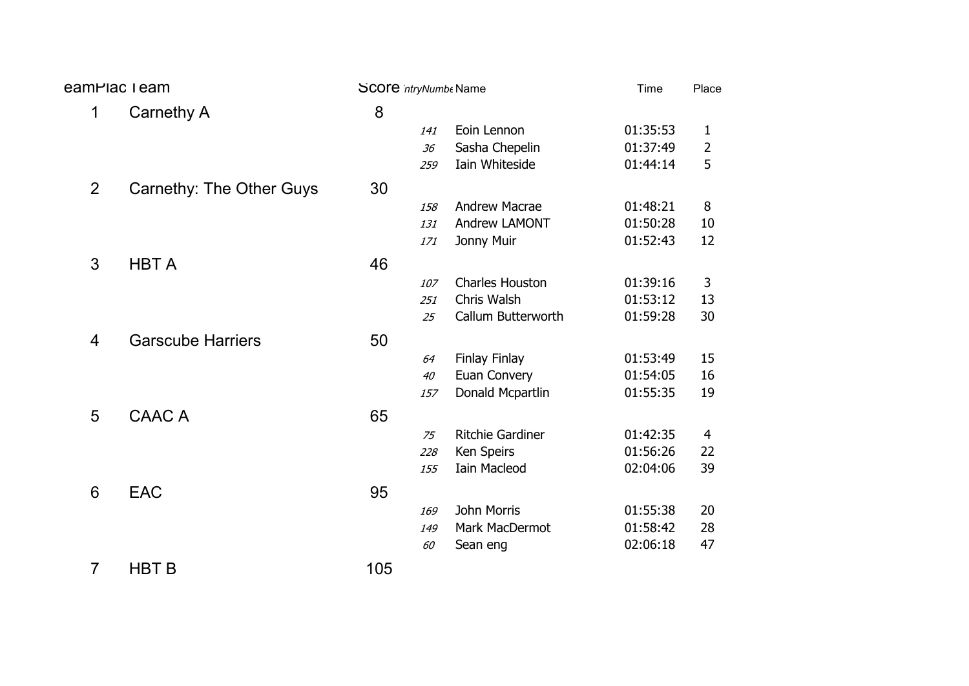| eamPlac I eam<br><b>SCOTE</b> ntryNumbe Name |                                 |     | Time | Place                   |          |                |
|----------------------------------------------|---------------------------------|-----|------|-------------------------|----------|----------------|
| $\mathbf{1}$                                 | Carnethy A                      | 8   |      |                         |          |                |
|                                              |                                 |     | 141  | Eoin Lennon             | 01:35:53 | 1              |
|                                              |                                 |     | 36   | Sasha Chepelin          | 01:37:49 | 2              |
|                                              |                                 |     | 259  | Iain Whiteside          | 01:44:14 | 5              |
| $\overline{2}$                               | <b>Carnethy: The Other Guys</b> | 30  |      |                         |          |                |
|                                              |                                 |     | 158  | <b>Andrew Macrae</b>    | 01:48:21 | 8              |
|                                              |                                 |     | 131  | Andrew LAMONT           | 01:50:28 | 10             |
|                                              |                                 |     | 171  | Jonny Muir              | 01:52:43 | 12             |
| 3                                            | <b>HBT A</b>                    | 46  |      |                         |          |                |
|                                              |                                 |     | 107  | <b>Charles Houston</b>  | 01:39:16 | 3              |
|                                              |                                 |     | 251  | Chris Walsh             | 01:53:12 | 13             |
|                                              |                                 |     | 25   | Callum Butterworth      | 01:59:28 | 30             |
| $\overline{4}$                               | <b>Garscube Harriers</b>        | 50  |      |                         |          |                |
|                                              |                                 |     | 64   | Finlay Finlay           | 01:53:49 | 15             |
|                                              |                                 |     | 40   | Euan Convery            | 01:54:05 | 16             |
|                                              |                                 |     | 157  | Donald Mcpartlin        | 01:55:35 | 19             |
| 5                                            | <b>CAAC A</b>                   | 65  |      |                         |          |                |
|                                              |                                 |     | 75   | <b>Ritchie Gardiner</b> | 01:42:35 | $\overline{4}$ |
|                                              |                                 |     | 228  | Ken Speirs              | 01:56:26 | 22             |
|                                              |                                 |     | 155  | <b>Iain Macleod</b>     | 02:04:06 | 39             |
| $6\phantom{1}6$                              | <b>EAC</b>                      | 95  |      |                         |          |                |
|                                              |                                 |     | 169  | <b>John Morris</b>      | 01:55:38 | 20             |
|                                              |                                 |     | 149  | Mark MacDermot          | 01:58:42 | 28             |
|                                              |                                 |     | 60   | Sean eng                | 02:06:18 | 47             |
| $\overline{7}$                               | <b>HBT B</b>                    | 105 |      |                         |          |                |
|                                              |                                 |     |      |                         |          |                |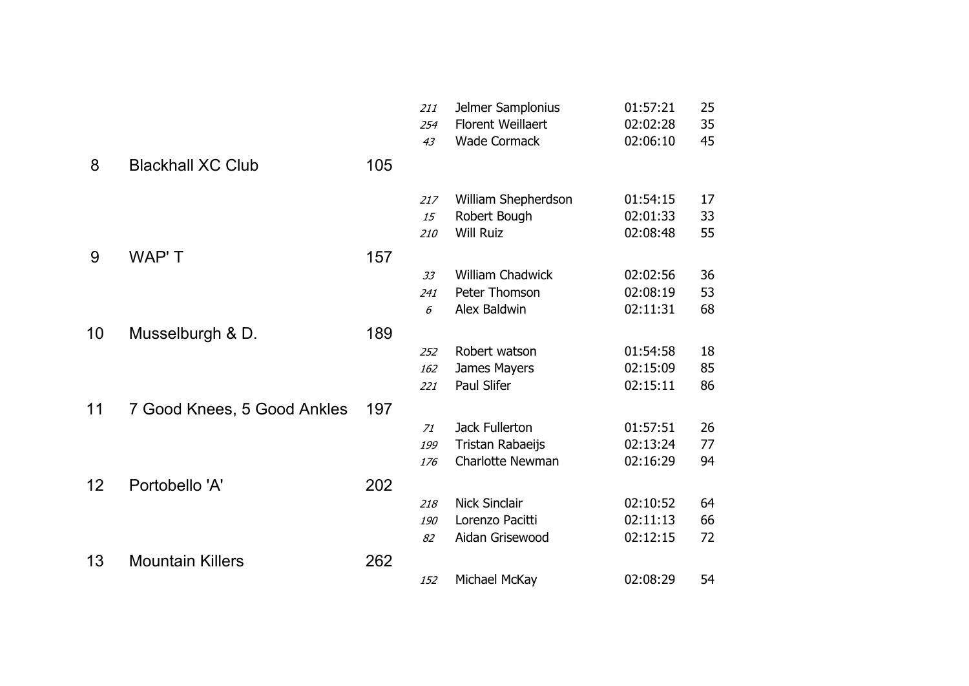|    |                             |     | 211<br>254 | Jelmer Samplonius<br><b>Florent Weillaert</b> | 01:57:21<br>02:02:28 | 25<br>35 |
|----|-----------------------------|-----|------------|-----------------------------------------------|----------------------|----------|
| 8  | <b>Blackhall XC Club</b>    | 105 | 43         | <b>Wade Cormack</b>                           | 02:06:10             | 45       |
|    |                             |     |            |                                               |                      |          |
|    |                             |     | 217        | William Shepherdson                           | 01:54:15             | 17       |
|    |                             |     | 15         | Robert Bough                                  | 02:01:33             | 33       |
|    |                             |     | 210        | <b>Will Ruiz</b>                              | 02:08:48             | 55       |
| 9  | WAP'T                       | 157 |            |                                               |                      |          |
|    |                             |     | 33         | William Chadwick                              | 02:02:56             | 36       |
|    |                             |     | 241        | Peter Thomson                                 | 02:08:19             | 53       |
|    |                             |     | 6          | Alex Baldwin                                  | 02:11:31             | 68       |
| 10 | Musselburgh & D.            | 189 |            |                                               |                      |          |
|    |                             |     | 252        | Robert watson                                 | 01:54:58             | 18       |
|    |                             |     | 162        | James Mayers                                  | 02:15:09             | 85       |
|    |                             |     | 221        | Paul Slifer                                   | 02:15:11             | 86       |
| 11 | 7 Good Knees, 5 Good Ankles | 197 |            |                                               |                      |          |
|    |                             |     | 71         | Jack Fullerton                                | 01:57:51             | 26       |
|    |                             |     | 199        | Tristan Rabaeijs                              | 02:13:24             | 77       |
|    |                             |     | 176        | Charlotte Newman                              | 02:16:29             | 94       |
| 12 | Portobello 'A'              | 202 |            |                                               |                      |          |
|    |                             |     | 218        | <b>Nick Sinclair</b>                          | 02:10:52             | 64       |
|    |                             |     | 190        | Lorenzo Pacitti                               | 02:11:13             | 66       |
|    |                             |     | 82         | Aidan Grisewood                               | 02:12:15             | 72       |
| 13 | <b>Mountain Killers</b>     | 262 |            |                                               |                      |          |
|    |                             |     | 152        | Michael McKay                                 | 02:08:29             | 54       |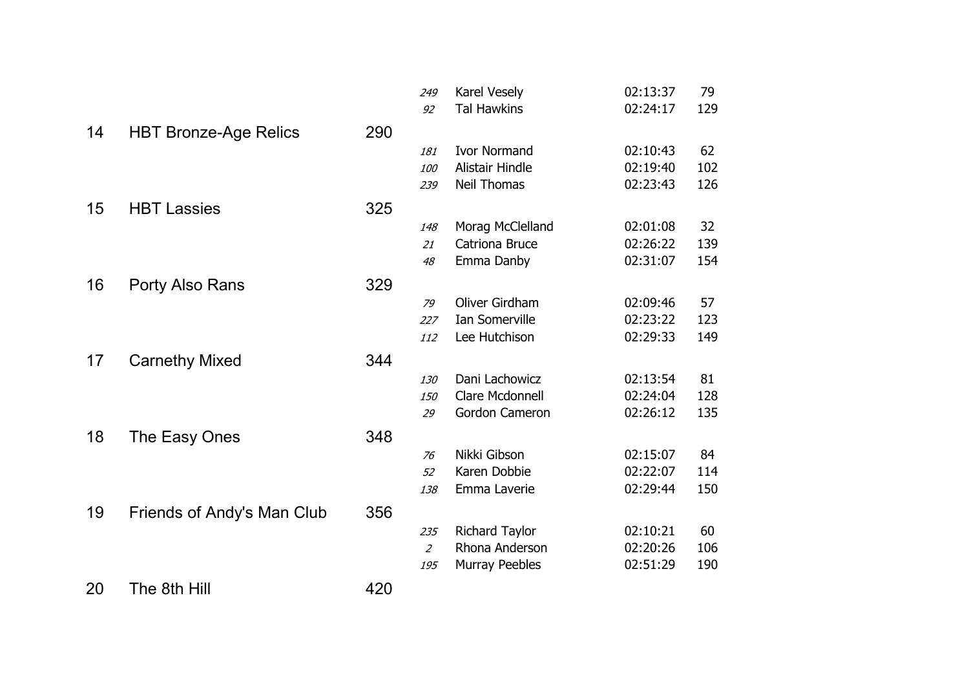|    |                              |     | 249            | Karel Vesely          | 02:13:37 | 79  |
|----|------------------------------|-----|----------------|-----------------------|----------|-----|
|    |                              |     | 92             | <b>Tal Hawkins</b>    | 02:24:17 | 129 |
| 14 | <b>HBT Bronze-Age Relics</b> | 290 |                |                       |          |     |
|    |                              |     | 181            | <b>Ivor Normand</b>   | 02:10:43 | 62  |
|    |                              |     | 100            | Alistair Hindle       | 02:19:40 | 102 |
|    |                              |     | 239            | <b>Neil Thomas</b>    | 02:23:43 | 126 |
| 15 | <b>HBT Lassies</b>           | 325 |                |                       |          |     |
|    |                              |     | 148            | Morag McClelland      | 02:01:08 | 32  |
|    |                              |     | 21             | Catriona Bruce        | 02:26:22 | 139 |
|    |                              |     | 48             | Emma Danby            | 02:31:07 | 154 |
| 16 | Porty Also Rans              | 329 |                |                       |          |     |
|    |                              |     | 79             | Oliver Girdham        | 02:09:46 | 57  |
|    |                              |     | 227            | Ian Somerville        | 02:23:22 | 123 |
|    |                              |     | 112            | Lee Hutchison         | 02:29:33 | 149 |
| 17 | <b>Carnethy Mixed</b>        | 344 |                |                       |          |     |
|    |                              |     | 130            | Dani Lachowicz        | 02:13:54 | 81  |
|    |                              |     | <i>150</i>     | Clare Mcdonnell       | 02:24:04 | 128 |
|    |                              |     | 29             | Gordon Cameron        | 02:26:12 | 135 |
| 18 | The Easy Ones                | 348 |                |                       |          |     |
|    |                              |     | 76             | Nikki Gibson          | 02:15:07 | 84  |
|    |                              |     | 52             | Karen Dobbie          | 02:22:07 | 114 |
|    |                              |     | 138            | Emma Laverie          | 02:29:44 | 150 |
| 19 | Friends of Andy's Man Club   | 356 |                |                       |          |     |
|    |                              |     | 235            | <b>Richard Taylor</b> | 02:10:21 | 60  |
|    |                              |     | $\overline{2}$ | Rhona Anderson        | 02:20:26 | 106 |
|    |                              |     | 195            | Murray Peebles        | 02:51:29 | 190 |
| 20 | The 8th Hill                 | 420 |                |                       |          |     |
|    |                              |     |                |                       |          |     |